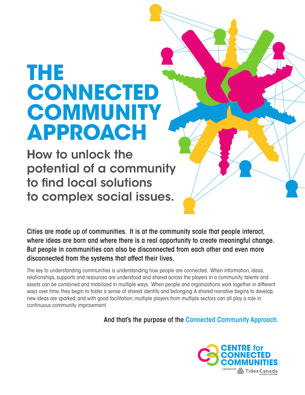# **THE CONNECTED COMMUNITY APPROACH**

How to unlock the potential of a community to find local solutions to complex social issues.

Cities are made up of communities. It is at the community scale that people interact, where ideas are born and where there is a real opportunity to create meaningful change. But people in communities can also be disconnected from each other and even more disconnected from the systems that affect their lives.

The key to understanding communities is understanding how people are connected. When information, ideas, relationships, supports and resources are understood and shared across the players in a community, talents and assets can be combined and mobilized in multiple ways. When people and organizations work together in different ways over time, they begin to foster a sense of shared identity and belonging. A shared narrative begins to develop, new ideas are sparked, and with good facilitation, multiple players from multiple sectors can all play a role in continuous community improvement.

And that's the purpose of the Connected Community Approach.

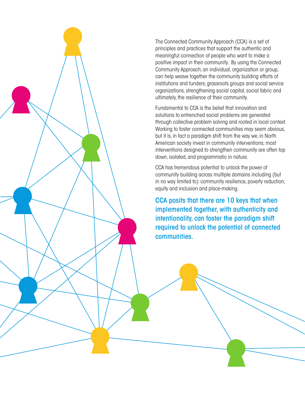

The Connected Community Approach (CCA) is a set of principles and practices that support the authentic and meaningful connection of people who want to make a positive impact in their community. By using the Connected Community Approach, an individual, organization or group, can help weave together the community building efforts of institutions and funders, grassroots groups and social service organizations, strengthening social capital, social fabric and ultimately, the resilience of their community.

Fundamental to CCA is the belief that innovation and solutions to entrenched social problems are generated through collective problem solving and rooted in local context. Working to foster connected communities may seem obvious, but it is, in fact a paradigm shift from the way we, in North American society invest in community interventions; most interventions designed to strengthen community are often top down, isolated, and programmatic in nature.

CCA has tremendous potential to unlock the power of community building across multiple domains including (but in no way limited to): community resilience, poverty reduction, equity and inclusion and place-making.

CCA posits that there are 10 keys that when implemented together, with authenticity and intentionality, can foster the paradigm shift required to unlock the potential of connected communities.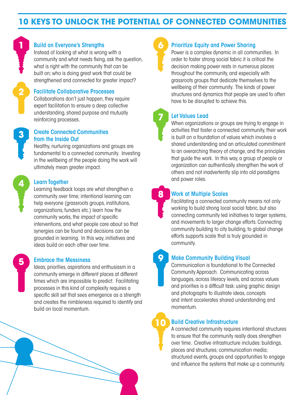## **10 KEYS TO UNLOCK THE POTENTIAL OF CONNECTED COMMUNITIES**



## **1 Build on Everyone's Strengths**

Instead of looking at what is wrong with a community and what needs fixing, ask the question, what is right with the community that can be built on; who is doing great work that could be strengthened and connected for greater impact?

#### Facilitate Collaborative Processes

Collaborations don't just happen, they require expert facilitation to ensure a deep collective understanding, shared purpose and mutually reinforcing processes.



**4**

**5**

#### Create Connected Communities from the Inside Out

Healthy, nurturing organizations and groups are fundamental to a connected community. Investing in the wellbeing of the people doing the work will ultimately mean greater impact.

#### Learn Together

Learning feedback loops are what strengthen a community over time; intentional learning can help everyone (grassroots groups, institutions, organizations, funders etc.) learn how the community works, the impact of specific interventions, and what people care about so that synergies can be found and decisions can be grounded in learning. In this way, initiatives and ideas build on each other over time.

#### Embrace the Messiness

Ideas, priorities, aspirations and enthusiasm in a community emerge in different places at different times which are impossible to predict. Facilitating processes in this kind of complexity requires a specific skill set that sees emergence as a strength and creates the nimbleness required to identify and build on local momentum.

## Prioritize Equity and Power Sharing

Power is a complex dynamic in all communities. In order to foster strong social fabric it is critical the decision making power rests in numerous places throughout the community, and especially with grassroots groups that dedicate themselves to the wellbeing of their community. The kinds of power structures and dynamics that people are used to often have to be disrupted to achieve this.

## Let Values Lead

**7**

**8**

**9**

When organizations or groups are trying to engage in activities that foster a connected community, their work is built on a foundation of values which involves a shared understanding and an articulated commitment to an overarching theory of change, and the principles that guide the work. In this way, a group of people or organization can authentically strengthen the work of others and not inadvertently slip into old paradigms and power roles.

## Work at Multiple Scales

Facilitating a connected community means not only working to build strong local social fabric, but also connecting community led initiatives to larger systems, and movements to larger change efforts. Connecting community building to city building, to global change efforts supports scale that is truly grounded in community.

### Make Community Building Visual

Communication is foundational to the Connected Community Approach. Communicating across languages, across literacy levels, and across values and priorities is a difficult task: using graphic design and photographs to illustrate ideas, concepts and intent accelerates shared understanding and momentum.

#### Build Creative Infrastructure **10**

A connected community requires intentional structures to ensure that the community really does strengthen over time. Creative infrastructure includes: buildings, places and structures; communication media; structured events, groups and opportunities to engage and influence the systems that make up a community.